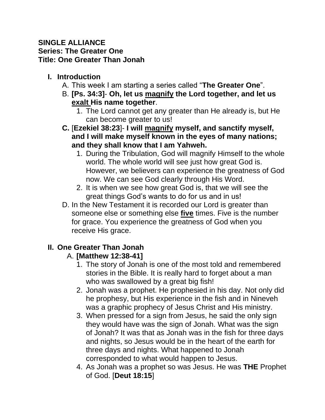#### **SINGLE ALLIANCE Series: The Greater One Title: One Greater Than Jonah**

## **I. Introduction**

- A. This week I am starting a series called "**The Greater One**".
- B. **[Ps. 34:3] Oh, let us magnify the Lord together, and let us exalt His name together**.
	- 1. The Lord cannot get any greater than He already is, but He can become greater to us!
- **C.** [**Ezekiel 38:23**]- **I will magnify myself, and sanctify myself, and I will make myself known in the eyes of many nations; and they shall know that I am Yahweh.** 
	- 1. During the Tribulation, God will magnify Himself to the whole world. The whole world will see just how great God is. However, we believers can experience the greatness of God now. We can see God clearly through His Word.
	- 2. It is when we see how great God is, that we will see the great things God's wants to do for us and in us!
- D. In the New Testament it is recorded our Lord is greater than someone else or something else **five** times. Five is the number for grace. You experience the greatness of God when you receive His grace.

# **II. One Greater Than Jonah**

## A. **[Matthew 12:38-41]**

- 1. The story of Jonah is one of the most told and remembered stories in the Bible. It is really hard to forget about a man who was swallowed by a great big fish!
- 2. Jonah was a prophet. He prophesied in his day. Not only did he prophesy, but His experience in the fish and in Nineveh was a graphic prophecy of Jesus Christ and His ministry.
- 3. When pressed for a sign from Jesus, he said the only sign they would have was the sign of Jonah. What was the sign of Jonah? It was that as Jonah was in the fish for three days and nights, so Jesus would be in the heart of the earth for three days and nights. What happened to Jonah corresponded to what would happen to Jesus.
- 4. As Jonah was a prophet so was Jesus. He was **THE** Prophet of God. [**Deut 18:15**]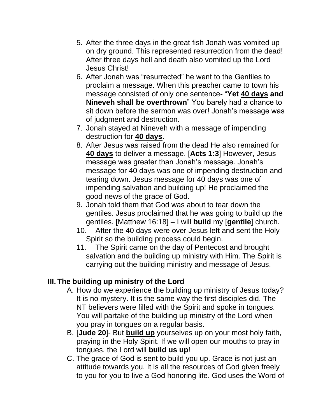- 5. After the three days in the great fish Jonah was vomited up on dry ground. This represented resurrection from the dead! After three days hell and death also vomited up the Lord Jesus Christ!
- 6. After Jonah was "resurrected" he went to the Gentiles to proclaim a message. When this preacher came to town his message consisted of only one sentence- "**Yet 40 days and Nineveh shall be overthrown**" You barely had a chance to sit down before the sermon was over! Jonah's message was of judgment and destruction.
- 7. Jonah stayed at Nineveh with a message of impending destruction for **40 days**.
- 8. After Jesus was raised from the dead He also remained for **40 days** to deliver a message. [**Acts 1:3**] However, Jesus message was greater than Jonah's message. Jonah's message for 40 days was one of impending destruction and tearing down. Jesus message for 40 days was one of impending salvation and building up! He proclaimed the good news of the grace of God.
- 9. Jonah told them that God was about to tear down the gentiles. Jesus proclaimed that he was going to build up the gentiles. [Matthew 16:18] – I will **build** my [**gentile**] church.
- 10. After the 40 days were over Jesus left and sent the Holy Spirit so the building process could begin.
- 11. The Spirit came on the day of Pentecost and brought salvation and the building up ministry with Him. The Spirit is carrying out the building ministry and message of Jesus.

## **III. The building up ministry of the Lord**

- A. How do we experience the building up ministry of Jesus today? It is no mystery. It is the same way the first disciples did. The NT believers were filled with the Spirit and spoke in tongues. You will partake of the building up ministry of the Lord when you pray in tongues on a regular basis.
- B. [**Jude 20**]- But **build up** yourselves up on your most holy faith, praying in the Holy Spirit. If we will open our mouths to pray in tongues, the Lord will **build us up**!
- C. The grace of God is sent to build you up. Grace is not just an attitude towards you. It is all the resources of God given freely to you for you to live a God honoring life. God uses the Word of